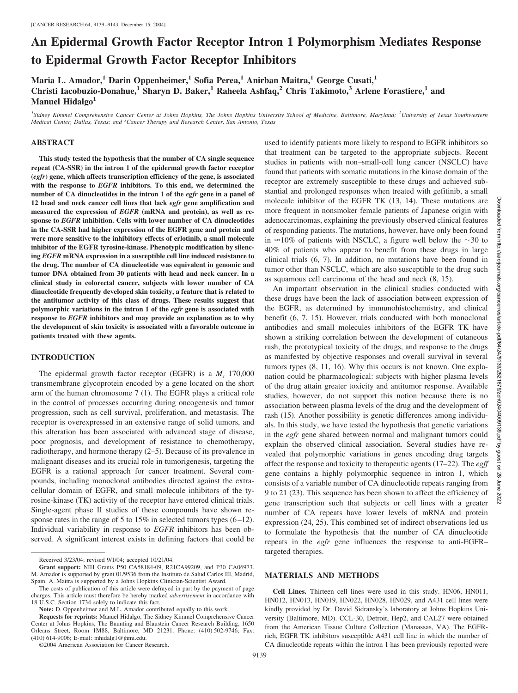# **An Epidermal Growth Factor Receptor Intron 1 Polymorphism Mediates Response to Epidermal Growth Factor Receptor Inhibitors**

**Maria L. Amador,1 Darin Oppenheimer,1 Sofia Perea,1 Anirban Maitra,1 George Cusati,1 Christi Iacobuzio-Donahue,1 Sharyn D. Baker,1 Raheela Ashfaq,2 Chris Takimoto,3 Arlene Forastiere,1 and** Manuel Hidalgo<sup>1</sup>

*1 Sidney Kimmel Comprehensive Cancer Center at Johns Hopkins, The Johns Hopkins University School of Medicine, Baltimore, Maryland; <sup>2</sup> University of Texas Southwestern Medical Center, Dallas, Texas; and <sup>3</sup> Cancer Therapy and Research Center, San Antonio, Texas*

## **ABSTRACT**

**This study tested the hypothesis that the number of CA single sequence repeat (CA-SSR) in the intron 1 of the epidermal growth factor receptor (***egfr***) gene, which affects transcription efficiency of the gene, is associated with the response to** *EGFR* **inhibitors. To this end, we determined the number of CA dinucleotides in the intron 1 of the** *egfr* **gene in a panel of 12 head and neck cancer cell lines that lack** *egfr* **gene amplification and measured the expression of** *EGFR* **(mRNA and protein), as well as response to** *EGFR* **inhibition. Cells with lower number of CA dinucleotides in the CA-SSR had higher expression of the EGFR gene and protein and were more sensitive to the inhibitory effects of erlotinib, a small molecule inhibitor of the EGFR tyrosine-kinase. Phenotypic modification by silencing** *EGFR* **mRNA expression in a susceptible cell line induced resistance to the drug. The number of CA dinucleotide was equivalent in genomic and tumor DNA obtained from 30 patients with head and neck cancer. In a clinical study in colorectal cancer, subjects with lower number of CA dinucleotide frequently developed skin toxicity, a feature that is related to the antitumor activity of this class of drugs. These results suggest that polymorphic variations in the intron 1 of the** *egfr* **gene is associated with response to** *EGFR* **inhibitors and may provide an explanation as to why the development of skin toxicity is associated with a favorable outcome in patients treated with these agents.**

## **INTRODUCTION**

The epidermal growth factor receptor (EGFR) is a  $M_r$  170,000 transmembrane glycoprotein encoded by a gene located on the short arm of the human chromosome 7 (1). The EGFR plays a critical role in the control of processes occurring during oncogenesis and tumor progression, such as cell survival, proliferation, and metastasis. The receptor is overexpressed in an extensive range of solid tumors, and this alteration has been associated with advanced stage of disease, poor prognosis, and development of resistance to chemotherapy, radiotherapy, and hormone therapy (2–5). Because of its prevalence in malignant diseases and its crucial role in tumorigenesis, targeting the EGFR is a rational approach for cancer treatment. Several compounds, including monoclonal antibodies directed against the extracellular domain of EGFR, and small molecule inhibitors of the tyrosine-kinase (TK) activity of the receptor have entered clinical trials. Single-agent phase II studies of these compounds have shown response rates in the range of 5 to 15% in selected tumors types  $(6-12)$ . Individual variability in response to *EGFR* inhibitors has been observed. A significant interest exists in defining factors that could be

©2004 American Association for Cancer Research.

used to identify patients more likely to respond to EGFR inhibitors so that treatment can be targeted to the appropriate subjects. Recent studies in patients with non–small-cell lung cancer (NSCLC) have found that patients with somatic mutations in the kinase domain of the receptor are extremely susceptible to these drugs and achieved substantial and prolonged responses when treated with gefitinib, a small molecule inhibitor of the EGFR TK (13, 14). These mutations are more frequent in nonsmoker female patients of Japanese origin with adenocarcinomas, explaining the previously observed clinical features of responding patients. The mutations, however, have only been found in  $\approx$ 10% of patients with NSCLC, a figure well below the  $\sim$ 30 to 40% of patients who appear to benefit from these drugs in large clinical trials (6, 7). In addition, no mutations have been found in tumor other than NSCLC, which are also susceptible to the drug such as squamous cell carcinoma of the head and neck (8, 15).

An important observation in the clinical studies conducted with these drugs have been the lack of association between expression of the EGFR, as determined by immunohistochemistry, and clinical benefit (6, 7, 15). However, trials conducted with both monoclonal antibodies and small molecules inhibitors of the EGFR TK have shown a striking correlation between the development of cutaneous rash, the prototypical toxicity of the drugs, and response to the drugs as manifested by objective responses and overall survival in several tumors types (8, 11, 16). Why this occurs is not known. One explanation could be pharmacological: subjects with higher plasma levels of the drug attain greater toxicity and antitumor response. Available studies, however, do not support this notion because there is no association between plasma levels of the drug and the development of rash (15). Another possibility is genetic differences among individuals. In this study, we have tested the hypothesis that genetic variations in the *egfr* gene shared between normal and malignant tumors could explain the observed clinical association. Several studies have revealed that polymorphic variations in genes encoding drug targets affect the response and toxicity to therapeutic agents (17–22). The *egff* gene contains a highly polymorphic sequence in intron 1, which consists of a variable number of CA dinucleotide repeats ranging from 9 to 21 (23). This sequence has been shown to affect the efficiency of gene transcription such that subjects or cell lines with a greater number of CA repeats have lower levels of mRNA and protein expression (24, 25). This combined set of indirect observations led us to formulate the hypothesis that the number of CA dinucleotide repeats in the *egfr* gene influences the response to anti-EGFR– targeted therapies.

## **MATERIALS AND METHODS**

**Cell Lines.** Thirteen cell lines were used in this study. HN06, HN011, HN012, HN013, HN019, HN022, HN028, HN029, and A431 cell lines were kindly provided by Dr. David Sidransky's laboratory at Johns Hopkins University (Baltimore, MD). CCL-30, Detroit, Hep2, and CAL27 were obtained from the American Tissue Culture Collection (Manassas, VA). The EGFRrich, EGFR TK inhibitors susceptible A431 cell line in which the number of CA dinucleotide repeats within the intron 1 has been previously reported were

Received 3/23/04; revised 9/1/04; accepted 10/21/04.

**Grant support:** NIH Grants P50 CA58184-09, R21CA99209, and P30 CA06973. M. Amador is supported by grant 01/9536 from the Instituto de Salud Carlos III, Madrid, Spain. A. Maitra is supported by a Johns Hopkins Clinician-Scientist Award.

The costs of publication of this article were defrayed in part by the payment of page charges. This article must therefore be hereby marked *advertisement* in accordance with 18 U.S.C. Section 1734 solely to indicate this fact.

**Note:** D. Oppenheimer and M.L. Amador contributed equally to this work.

**Requests for reprints:** Manuel Hidalgo, The Sidney Kimmel Comprehensive Cancer Center at Johns Hopkins, The Baunting and Blaustein Cancer Research Building, 1650 Orleans Street, Room 1M88, Baltimore, MD 21231. Phone: (410) 502-9746; Fax: (410) 614-9006; E-mail: mhidalg1@jhmi.edu.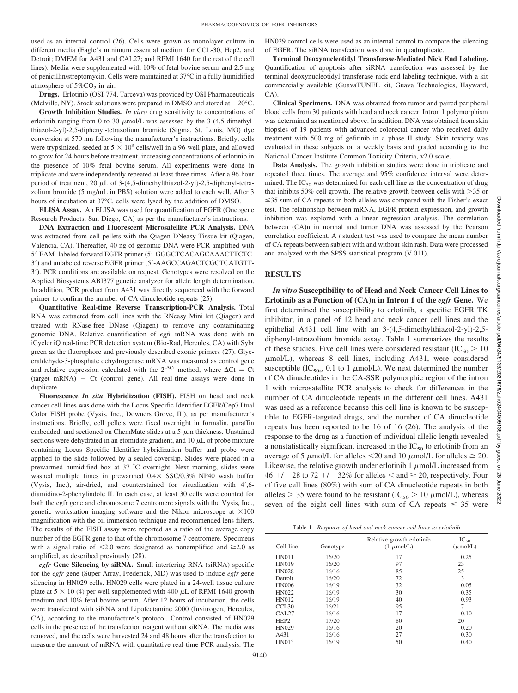used as an internal control (26). Cells were grown as monolayer culture in different media (Eagle's minimum essential medium for CCL-30, Hep2, and Detroit; DMEM for A431 and CAL27; and RPMI 1640 for the rest of the cell lines). Media were supplemented with 10% of fetal bovine serum and 2.5 mg of penicillin/streptomycin. Cells were maintained at 37°C in a fully humidified atmosphere of  $5\%CO<sub>2</sub>$  in air.

**Drugs.** Erlotinib (OSI-774, Tarceva) was provided by OSI Pharmaceuticals (Melville, NY). Stock solutions were prepared in DMSO and stored at  $-20^{\circ}$ C.

**Growth Inhibition Studies.** *In vitro* drug sensitivity to concentrations of erlotinib ranging from 0 to 30  $\mu$ mol/L was assessed by the 3-(4,5-dimethylthiazol-2-yl)-2,5-diphenyl-tetrazolium bromide (Sigma, St. Louis, MO) dye conversion at 570 nm following the manufacturer's instructions. Briefly, cells were trypsinized, seeded at  $5 \times 10^3$  cells/well in a 96-well plate, and allowed to grow for 24 hours before treatment, increasing concentrations of erlotinib in the presence of 10% fetal bovine serum. All experiments were done in triplicate and were independently repeated at least three times. After a 96-hour period of treatment, 20  $\mu$ L of 3-(4,5-dimethylthiazol-2-yl)-2,5-diphenyl-tetrazolium bromide (5 mg/mL in PBS) solution were added to each well. After 3 hours of incubation at 37°C, cells were lysed by the addition of DMSO.

**ELISA Assay.** An ELISA was used for quantification of EGFR (Oncogene Research Products, San Diego, CA) as per the manufacturer's instructions.

**DNA Extraction and Fluorescent Microsatellite PCR Analysis.** DNA was extracted from cell pellets with the Qiagen DNeasy Tissue kit (Qiagen, Valencia, CA). Thereafter, 40 ng of genomic DNA were PCR amplified with 5-FAM–labeled forward EGFR primer (5-GGGCTCACAGCAAACTTCTC-3) and unlabeled reverse EGFR primer (5-AAGCCAGACTCGCTCATGTT-3). PCR conditions are available on request. Genotypes were resolved on the Applied Biosystems ABI377 genetic analyzer for allele length determination. In addition, PCR product from A431 was directly sequenced with the forward primer to confirm the number of CA dinucleotide repeats (25).

**Quantitative Real-time Reverse Transcription-PCR Analysis.** Total RNA was extracted from cell lines with the RNeasy Mini kit (Qiagen) and treated with RNase-free DNase (Qiagen) to remove any contaminating genomic DNA. Relative quantification of *egfr* mRNA was done with an iCycler iQ real-time PCR detection system (Bio-Rad, Hercules, CA) with Sybr green as the fluorophore and previously described exonic primers (27). Glyceraldehyde-3-phosphate dehydrogenase mRNA was measured as control gene and relative expression calculated with the  $2^{-\Delta Ct}$  method, where  $\Delta Ct = Ct$  $(target mRNA) - Ct (control gene)$ . All real-time assays were done in duplicate.

**Fluorescence** *In situ* **Hybridization (FISH).** FISH on head and neck cancer cell lines was done with the Locus Specific Identifier EGFR/Cep7 Dual Color FISH probe (Vysis, Inc., Downers Grove, IL), as per manufacturer's instructions. Briefly, cell pellets were fixed overnight in formalin, paraffin embedded, and sectioned on ChemMate slides at a  $5-\mu m$  thickness. Unstained sections were dehydrated in an etomidate gradient, and  $10 \mu L$  of probe mixture containing Locus Specific Identifier hybridization buffer and probe were applied to the slide followed by a sealed coverslip. Slides were placed in a prewarmed humidified box at 37 ° C overnight. Next morning, slides were washed multiple times in prewarmed  $0.4 \times$  SSC/0.3% NP40 wash buffer (Vysis, Inc.), air-dried, and counterstained for visualization with 4',6diamidino-2-phenylindole II. In each case, at least 30 cells were counted for both the egfr gene and chromosome 7 centromere signals with the Vysis, Inc., genetic workstation imaging software and the Nikon microscope at  $\times 100$ magnification with the oil immersion technique and recommended lens filters. The results of the FISH assay were reported as a ratio of the average copy number of the EGFR gene to that of the chromosome 7 centromere. Specimens with a signal ratio of  $\leq 2.0$  were designated as nonamplified and  $\geq 2.0$  as amplified, as described previously (28).

*egfr* **Gene Silencing by siRNA.** Small interfering RNA (siRNA) specific for the *egfr* gene (Super Array, Frederick, MD) was used to induce *egfr* gene silencing in HN029 cells. HN029 cells were plated in a 24-well tissue culture plate at  $5 \times 10$  (4) per well supplemented with 400  $\mu$ L of RPMI 1640 growth medium and 10% fetal bovine serum. After 12 hours of incubation, the cells were transfected with siRNA and Lipofectamine 2000 (Invitrogen, Hercules, CA), according to the manufacture's protocol. Control consisted of HN029 cells in the presence of the transfection reagent without siRNA. The media was removed, and the cells were harvested 24 and 48 hours after the transfection to measure the amount of mRNA with quantitative real-time PCR analysis. The HN029 control cells were used as an internal control to compare the silencing of EGFR. The siRNA transfection was done in quadruplicate.

**Terminal Deoxynucleotidyl Transferase-Mediated Nick End Labeling.** Quantification of apoptosis after siRNA transfection was assessed by the terminal deoxynucleotidyl transferase nick-end-labeling technique, with a kit commercially available (GuavaTUNEL kit, Guava Technologies, Hayward, CA).

**Clinical Specimens.** DNA was obtained from tumor and paired peripheral blood cells from 30 patients with head and neck cancer. Intron 1 polymorphism was determined as mentioned above. In addition, DNA was obtained from skin biopsies of 19 patients with advanced colorectal cancer who received daily treatment with 500 mg of gefitinib in a phase II study. Skin toxicity was evaluated in these subjects on a weekly basis and graded according to the National Cancer Institute Common Toxicity Criteria, v2.0 scale.

**Data Analysis.** The growth inhibition studies were done in triplicate and repeated three times. The average and 95% confidence interval were determined. The  $IC_{50}$  was determined for each cell line as the concentration of drug that inhibits  $50\%$  cell growth. The relative growth between cells with  $>35$  or  $\leq$ 35 sum of CA repeats in both alleles was compared with the Fisher's exact test. The relationship between mRNA, EGFR protein expression, and growth inhibition was explored with a linear regression analysis. The correlation between (CA)n in normal and tumor DNA was assessed by the Pearson correlation coefficient. A *t* student test was used to compare the mean number of CA repeats between subject with and without skin rash. Data were processed and analyzed with the SPSS statistical program (V.011).

#### **RESULTS**

*In vitro* **Susceptibility to of Head and Neck Cancer Cell Lines to Erlotinib as a Function of (CA)n in Intron 1 of the** *egfr* **Gene.** We first determined the susceptibility to erlotinib, a specific EGFR TK inhibitor, in a panel of 12 head and neck cancer cell lines and the epithelial A431 cell line with an 3-(4,5-dimethylthiazol-2-yl)-2,5 diphenyl-tetrazolium bromide assay. Table 1 summarizes the results of these studies. Five cell lines were considered resistant  $(IC_{50} > 10$  $\mu$ mol/L), whereas 8 cell lines, including A431, were considered susceptible (IC<sub>50s</sub>, 0.1 to 1  $\mu$ mol/L). We next determined the number of CA dinucleotides in the CA-SSR polymorphic region of the intron 1 with microsatellite PCR analysis to check for differences in the number of CA dinucleotide repeats in the different cell lines. A431 was used as a reference because this cell line is known to be susceptible to EGFR-targeted drugs, and the number of CA dinucleotide repeats has been reported to be 16 of 16 (26). The analysis of the response to the drug as a function of individual allelic length revealed a nonstatistically significant increased in the  $IC_{50}$  to erlotinib from an average of 5  $\mu$ mol/L for alleles < 20 and 10  $\mu$ mol/L for alleles  $\geq 20$ . Likewise, the relative growth under erlotinib  $1 \mu$ mol/L increased from  $46 + 28$  to  $72 + 32\%$  for alleles  $\lt$  and  $\geq 20$ , respectively. Four of five cell lines (80%) with sum of CA dinucleotide repeats in both alleles  $> 35$  were found to be resistant (IC<sub>50</sub>  $> 10 \mu$ mol/L), whereas seven of the eight cell lines with sum of CA repeats  $\leq$  35 were

|  | Table 1 Response of head and neck cancer cell lines to erlotinib |
|--|------------------------------------------------------------------|
|--|------------------------------------------------------------------|

| Cell line         | Genotype | Relative growth erlotinib<br>$(1 \mu \text{mol/L})$ | $IC_{50}$<br>$(\mu \text{mol/L})$ |
|-------------------|----------|-----------------------------------------------------|-----------------------------------|
| <b>HN011</b>      | 16/20    | 17                                                  | 0.25                              |
| <b>HN019</b>      | 16/20    | 97                                                  | 23                                |
| <b>HN028</b>      | 16/16    | 85                                                  | 25                                |
| Detroit           | 16/20    | 72                                                  | 3                                 |
| <b>HN006</b>      | 16/19    | 32                                                  | 0.05                              |
| <b>HN022</b>      | 16/19    | 30                                                  | 0.35                              |
| <b>HN012</b>      | 16/19    | 40                                                  | 0.93                              |
| CCL <sub>30</sub> | 16/21    | 95                                                  | 7                                 |
| CAL27             | 16/16    | 17                                                  | 0.10                              |
| HEP <sub>2</sub>  | 17/20    | 80                                                  | 20                                |
| <b>HN029</b>      | 16/16    | 20                                                  | 0.20                              |
| A431              | 16/16    | 27                                                  | 0.30                              |
| <b>HN013</b>      | 16/19    | 50                                                  | 0.40                              |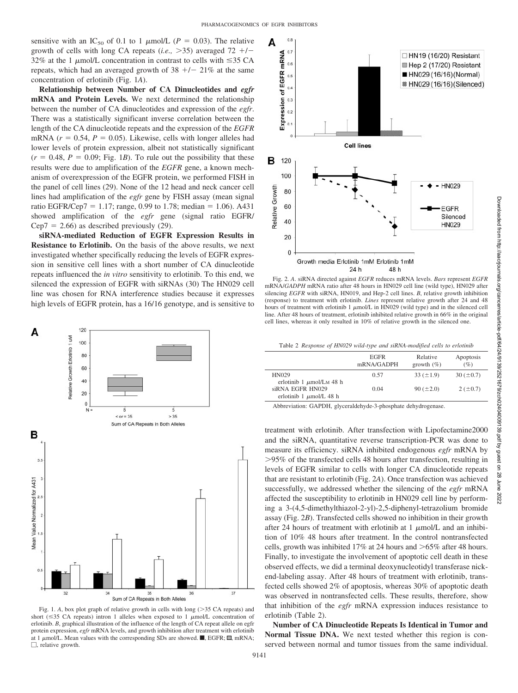sensitive with an IC<sub>50</sub> of 0.1 to 1  $\mu$ mol/L (*P* = 0.03). The relative growth of cells with long CA repeats  $(i.e., >35)$  averaged  $72 +/-$ 32% at the 1  $\mu$ mol/L concentration in contrast to cells with  $\leq$ 35 CA repeats, which had an averaged growth of  $38 + / -21\%$  at the same concentration of erlotinib (Fig. 1*A*).

**Relationship between Number of CA Dinucleotides and** *egfr* **mRNA and Protein Levels.** We next determined the relationship between the number of CA dinucleotides and expression of the *egfr*. There was a statistically significant inverse correlation between the length of the CA dinucleotide repeats and the expression of the *EGFR* mRNA ( $r = 0.54$ ,  $P = 0.05$ ). Likewise, cells with longer alleles had lower levels of protein expression, albeit not statistically significant  $(r = 0.48, P = 0.09;$  Fig. 1*B*). To rule out the possibility that these results were due to amplification of the *EGFR* gene, a known mechanism of overexpression of the EGFR protein, we performed FISH in the panel of cell lines (29). None of the 12 head and neck cancer cell lines had amplification of the *egfr* gene by FISH assay (mean signal ratio EGFR/Cep7 = 1.17; range, 0.99 to 1.78; median = 1.06). A431 showed amplification of the *egfr* gene (signal ratio EGFR/  $Cep7 = 2.66$ ) as described previously (29).

**siRNA-mediated Reduction of EGFR Expression Results in Resistance to Erlotinib.** On the basis of the above results, we next investigated whether specifically reducing the levels of EGFR expression in sensitive cell lines with a short number of CA dinucleotide repeats influenced the *in vitro* sensitivity to erlotinib. To this end, we silenced the expression of EGFR with siRNAs (30) The HN029 cell line was chosen for RNA interference studies because it expresses high levels of EGFR protein, has a 16/16 genotype, and is sensitive to



Fig. 1.  $A$ , box plot graph of relative growth in cells with long ( $>$ 35 CA repeats) and short ( $\leq$ 35 CA repeats) intron 1 alleles when exposed to 1  $\mu$ mol/L concentration of erlotinib. *B*, graphical illustration of the influence of the length of CA repeat allele on egfr protein expression, *egfr* mRNA levels, and growth inhibition after treatment with erlotinib at 1  $\mu$ mol/L. Mean values with the corresponding SDs are showed. **Regional Fig. manners** in  $\mu$  $\Box$ , relative growth.



Fig. 2. *A*. siRNA directed against *EGFR* reduces mRNA levels. *Bars* represent *EGFR* mRNA/*GADPH* mRNA ratio after 48 hours in HN029 cell line (wild type), HN029 after silencing *EGFR* with siRNA, HN019, and Hep-2 cell lines. *B*, relative growth inhibition (response) to treatment with erlotinib. *Lines* represent relative growth after 24 and 48 hours of treatment with erlotinib 1  $\mu$ mol/L in HN029 (wild type) and in the silenced cell line. After 48 hours of treatment, erlotinib inhibited relative growth in 66% in the original cell lines, whereas it only resulted in 10% of relative growth in the silenced one.

Table 2 *Response of HN029 wild-type and siRNA-modified cells to erlotinib*

|                                                           | <b>EGFR</b><br>mRNA/GADPH | Relative.<br>growth $(\% )$ | Apoptosis<br>$(\%)$ |
|-----------------------------------------------------------|---------------------------|-----------------------------|---------------------|
| <b>HN029</b><br>erlotinib 1 $\mu$ mol/L <sub>M</sub> 48 h | 0.57                      | $33 (\pm 1.9)$              | $30 (\pm 0.7)$      |
| siRNA EGFR HN029<br>erlotinib 1 $\mu$ mol/L 48 h          | 0.04                      | $90 (\pm 2.0)$              | $2(\pm 0.7)$        |
|                                                           |                           |                             |                     |

Abbreviation: GAPDH, glyceraldehyde-3-phosphate dehydrogenase.

treatment with erlotinib. After transfection with Lipofectamine2000 and the siRNA, quantitative reverse transcription-PCR was done to measure its efficiency. siRNA inhibited endogenous *egfr* mRNA by 95% of the transfected cells 48 hours after transfection, resulting in levels of EGFR similar to cells with longer CA dinucleotide repeats that are resistant to erlotinib (Fig. 2*A*). Once transfection was achieved successfully, we addressed whether the silencing of the *egfr* mRNA affected the susceptibility to erlotinib in HN029 cell line by performing a 3-(4,5-dimethylthiazol-2-yl)-2,5-diphenyl-tetrazolium bromide assay (Fig. 2*B*). Transfected cells showed no inhibition in their growth after 24 hours of treatment with erlotinib at 1  $\mu$ mol/L and an inhibition of 10% 48 hours after treatment. In the control nontransfected cells, growth was inhibited 17% at 24 hours and  $>65\%$  after 48 hours. Finally, to investigate the involvement of apoptotic cell death in these observed effects, we did a terminal deoxynucleotidyl transferase nickend-labeling assay. After 48 hours of treatment with erlotinib, transfected cells showed 2% of apoptosis, whereas 30% of apoptotic death was observed in nontransfected cells. These results, therefore, show that inhibition of the *egfr* mRNA expression induces resistance to erlotinib (Table 2).

**Number of CA Dinucleotide Repeats Is Identical in Tumor and Normal Tissue DNA.** We next tested whether this region is conserved between normal and tumor tissues from the same individual.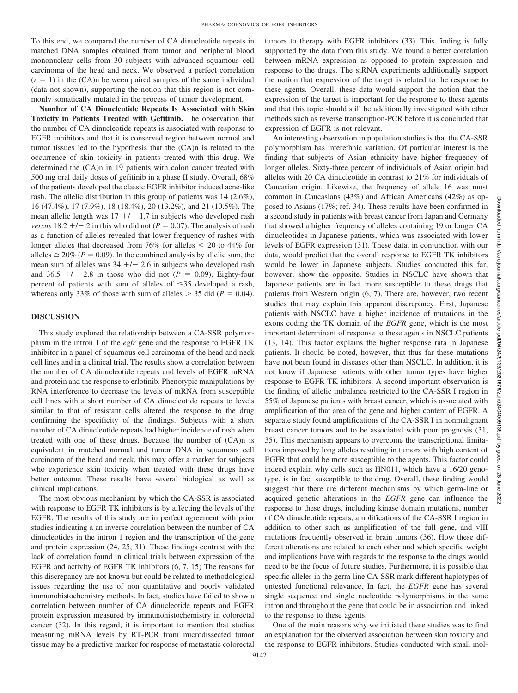To this end, we compared the number of CA dinucleotide repeats in matched DNA samples obtained from tumor and peripheral blood mononuclear cells from 30 subjects with advanced squamous cell carcinoma of the head and neck. We observed a perfect correlation  $(r = 1)$  in the  $(CA)$ n between paired samples of the same individual (data not shown), supporting the notion that this region is not commonly somatically mutated in the process of tumor development.

**Number of CA Dinucleotide Repeats Is Associated with Skin Toxicity in Patients Treated with Gefitinib.** The observation that the number of CA dinucleotide repeats is associated with response to EGFR inhibitors and that it is conserved region between normal and tumor tissues led to the hypothesis that the (CA)n is related to the occurrence of skin toxicity in patients treated with this drug. We determined the (CA)n in 19 patients with colon cancer treated with 500 mg oral daily doses of gefitinib in a phase II study. Overall, 68% of the patients developed the classic EGFR inhibitor induced acne-like rash. The allelic distribution in this group of patients was 14 (2.6%), 16 (47.4%), 17 (7.9%), 18 (18.4%), 20 (13.2%), and 21 (10.5%). The mean allelic length was  $17 +/- 1.7$  in subjects who developed rash *versus*  $18.2 + / - 2$  in this who did not ( $P = 0.07$ ). The analysis of rash as a function of alleles revealed that lower frequency of rashes with longer alleles that decreased from 76% for alleles  $\leq 20$  to 44% for alleles  $\geq 20\%$  ( $P = 0.09$ ). In the combined analysis by allelic sum, the mean sum of alleles was  $34 + / - 2.6$  in subjects who developed rash and  $36.5$  +/- 2.8 in those who did not ( $P = 0.09$ ). Eighty-four percent of patients with sum of alleles of  $\leq 35$  developed a rash, whereas only 33% of those with sum of alleles  $> 35$  did ( $P = 0.04$ ).

# **DISCUSSION**

This study explored the relationship between a CA-SSR polymorphism in the intron 1 of the *egfr* gene and the response to EGFR TK inhibitor in a panel of squamous cell carcinoma of the head and neck cell lines and in a clinical trial. The results show a correlation between the number of CA dinucleotide repeats and levels of EGFR mRNA and protein and the response to erlotinib. Phenotypic manipulations by RNA interference to decrease the levels of mRNA from susceptible cell lines with a short number of CA dinucleotide repeats to levels similar to that of resistant cells altered the response to the drug confirming the specificity of the findings. Subjects with a short number of CA dinucleotide repeats had higher incidence of rash when treated with one of these drugs. Because the number of (CA)n is equivalent in matched normal and tumor DNA in squamous cell carcinoma of the head and neck, this may offer a marker for subjects who experience skin toxicity when treated with these drugs have better outcome. These results have several biological as well as clinical implications.

The most obvious mechanism by which the CA-SSR is associated with response to EGFR TK inhibitors is by affecting the levels of the EGFR. The results of this study are in perfect agreement with prior studies indicating a an inverse correlation between the number of CA dinucleotides in the intron 1 region and the transcription of the gene and protein expression (24, 25, 31). These findings contrast with the lack of correlation found in clinical trials between expression of the EGFR and activity of EGFR TK inhibitors (6, 7, 15) The reasons for this discrepancy are not known but could be related to methodological issues regarding the use of non quantitative and poorly validated immunohistochemistry methods. In fact, studies have failed to show a correlation between number of CA dinucleotide repeats and EGFR protein expression measured by immunohistochemistry in colorectal cancer (32). In this regard, it is important to mention that studies measuring mRNA levels by RT-PCR from microdissected tumor tissue may be a predictive marker for response of metastatic colorectal tumors to therapy with EGFR inhibitors (33). This finding is fully supported by the data from this study. We found a better correlation between mRNA expression as opposed to protein expression and response to the drugs. The siRNA experiments additionally support the notion that expression of the target is related to the response to these agents. Overall, these data would support the notion that the expression of the target is important for the response to these agents and that this topic should still be additionally investigated with other methods such as reverse transcription-PCR before it is concluded that expression of EGFR is not relevant.

An interesting observation in population studies is that the CA-SSR polymorphism has interethnic variation. Of particular interest is the finding that subjects of Asian ethnicity have higher frequency of longer alleles. Sixty-three percent of individuals of Asian origin had alleles with 20 CA dinucleotide in contrast to 21% for individuals of Caucasian origin. Likewise, the frequency of allele 16 was most common in Caucasians (43%) and African Americans (42%) as opposed to Asians (17%; ref. 34). These results have been confirmed in a second study in patients with breast cancer from Japan and Germany that showed a higher frequency of alleles containing 19 or longer CA dinucleotides in Japanese patients, which was associated with lower levels of EGFR expression (31). These data, in conjunction with our data, would predict that the overall response to EGFR TK inhibitors would be lower in Japanese subjects. Studies conducted this far, however, show the opposite. Studies in NSCLC have shown that Japanese patients are in fact more susceptible to these drugs that patients from Western origin (6, 7). There are, however, two recent studies that may explain this apparent discrepancy. First, Japanese patients with NSCLC have a higher incidence of mutations in the exons coding the TK domain of the *EGFR* gene, which is the most important determinant of response to these agents in NSCLC patients (13, 14). This factor explains the higher response rata in Japanese patients. It should be noted, however, that thus far these mutations have not been found in diseases other than NSCLC. In addition, it is not know if Japanese patients with other tumor types have higher response to EGFR TK inhibitors. A second important observation is the finding of allelic imbalance restricted to the CA-SSR I region in 55% of Japanese patients with breast cancer, which is associated with amplification of that area of the gene and higher content of EGFR. A separate study found amplifications of the CA-SSR I in nonmalignant breast cancer tumors and to be associated with poor prognosis (31, 35). This mechanism appears to overcome the transcriptional limitations imposed by long alleles resulting in tumors with high content of EGFR that could be more susceptible to the agents. This factor could indeed explain why cells such as HN011, which have a 16/20 genotype, is in fact susceptible to the drug. Overall, these finding would suggest that there are different mechanisms by which germ-line or acquired genetic alterations in the *EGFR* gene can influence the response to these drugs, including kinase domain mutations, number of CA dinucleotide repeats, amplifications of the CA-SSR I region in addition to other such as amplification of the full gene, and vIII mutations frequently observed in brain tumors (36). How these different alterations are related to each other and which specific weight and implications have with regards to the response to the drugs would need to be the focus of future studies. Furthermore, it is possible that specific alleles in the germ-line CA-SSR mark different haplotypes of untested functional relevance. In fact, the *EGFR* gene has several single sequence and single nucleotide polymorphisms in the same intron and throughout the gene that could be in association and linked to the response to these agents.

One of the main reasons why we initiated these studies was to find an explanation for the observed association between skin toxicity and the response to EGFR inhibitors. Studies conducted with small mol-